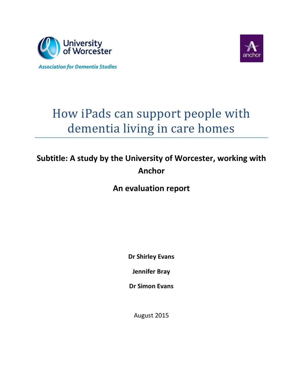



# How iPads can support people with dementia living in care homes

# **Subtitle: A study by the University of Worcester, working with Anchor**

**An evaluation report**

**Dr Shirley Evans**

**Jennifer Bray**

**Dr Simon Evans**

August 2015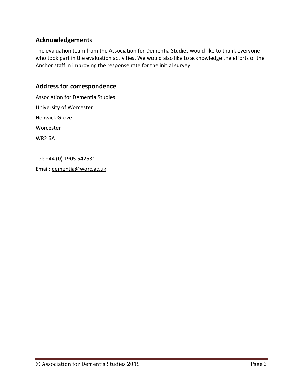### **Acknowledgements**

The evaluation team from the Association for Dementia Studies would like to thank everyone who took part in the evaluation activities. We would also like to acknowledge the efforts of the Anchor staff in improving the response rate for the initial survey.

### **Address for correspondence**

Association for Dementia Studies University of Worcester Henwick Grove Worcester WR2 6AJ

Tel: +44 (0) 1905 542531

Email: [dementia@worc.ac.uk](mailto:dementia@worc.ac.uk)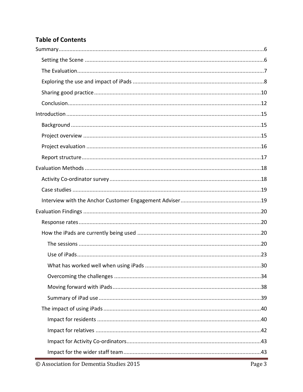# **Table of Contents**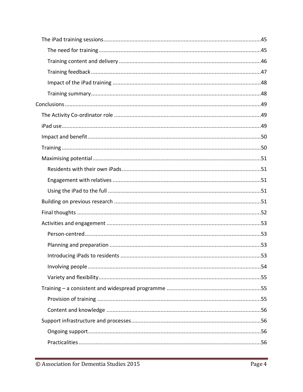| .53 |
|-----|
|     |
|     |
|     |
|     |
|     |
|     |
|     |
|     |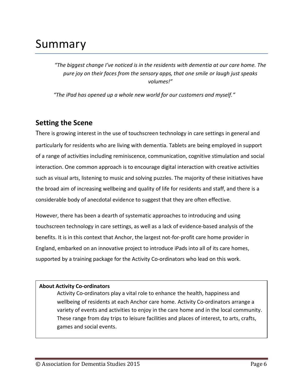# <span id="page-5-0"></span>Summary

*"The biggest change I've noticed is in the residents with dementia at our care home. The pure joy on their faces from the sensory apps, that one smile or laugh just speaks volumes!"*

*"The iPad has opened up a whole new world for our customers and myself."*

# <span id="page-5-1"></span>**Setting the Scene**

There is growing interest in the use of touchscreen technology in care settings in general and particularly for residents who are living with dementia. Tablets are being employed in support of a range of activities including reminiscence, communication, cognitive stimulation and social interaction. One common approach is to encourage digital interaction with creative activities such as visual arts, listening to music and solving puzzles. The majority of these initiatives have the broad aim of increasing wellbeing and quality of life for residents and staff, and there is a considerable body of anecdotal evidence to suggest that they are often effective.

However, there has been a dearth of systematic approaches to introducing and using touchscreen technology in care settings, as well as a lack of evidence-based analysis of the benefits. It is in this context that Anchor, the largest not-for-profit care home provider in England, embarked on an innovative project to introduce iPads into all of its care homes, supported by a training package for the Activity Co-ordinators who lead on this work.

#### **About Activity Co-ordinators**

Activity Co-ordinators play a vital role to enhance the health, happiness and wellbeing of residents at each Anchor care home. Activity Co-ordinators arrange a variety of events and activities to enjoy in the care home and in the local community. These range from day trips to leisure facilities and places of interest, to arts, crafts, games and social events.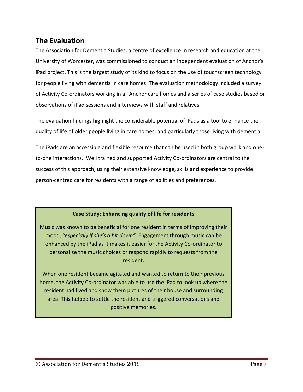# <span id="page-6-0"></span>**The Evaluation**

The Association for Dementia Studies, a centre of excellence in research and education at the University of Worcester, was commissioned to conduct an independent evaluation of Anchor's iPad project. This is the largest study of its kind to focus on the use of touchscreen technology for people living with dementia in care homes. The evaluation methodology included a survey of Activity Co-ordinators working in all Anchor care homes and a series of case studies based on observations of iPad sessions and interviews with staff and relatives.

The evaluation findings highlight the considerable potential of iPads as a tool to enhance the quality of life of older people living in care homes, and particularly those living with dementia.

The iPads are an accessible and flexible resource that can be used in both group work and oneto-one interactions. Well trained and supported Activity Co-ordinators are central to the success of this approach, using their extensive knowledge, skills and experience to provide person-centred care for residents with a range of abilities and preferences.

#### **Case Study: Enhancing quality of life for residents**

Music was known to be beneficial for one resident in terms of improving their mood, *"especially if she's a bit down"*. Engagement through music can be enhanced by the iPad as it makes it easier for the Activity Co-ordinator to personalise the music choices or respond rapidly to requests from the resident.

When one resident became agitated and wanted to return to their previous home, the Activity Co-ordinator was able to use the iPad to look up where the resident had lived and show them pictures of their house and surrounding area. This helped to settle the resident and triggered conversations and positive memories.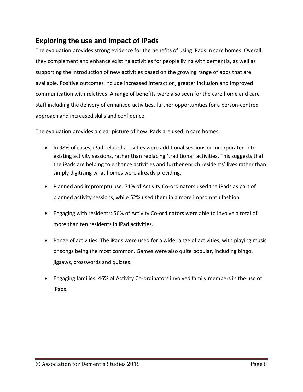# <span id="page-7-0"></span>**Exploring the use and impact of iPads**

The evaluation provides strong evidence for the benefits of using iPads in care homes. Overall, they complement and enhance existing activities for people living with dementia, as well as supporting the introduction of new activities based on the growing range of apps that are available. Positive outcomes include increased interaction, greater inclusion and improved communication with relatives. A range of benefits were also seen for the care home and care staff including the delivery of enhanced activities, further opportunities for a person-centred approach and increased skills and confidence.

The evaluation provides a clear picture of how iPads are used in care homes:

- In 98% of cases, iPad-related activities were additional sessions or incorporated into existing activity sessions, rather than replacing 'traditional' activities. This suggests that the iPads are helping to enhance activities and further enrich residents' lives rather than simply digitising what homes were already providing.
- Planned and impromptu use: 71% of Activity Co-ordinators used the iPads as part of planned activity sessions, while 52% used them in a more impromptu fashion.
- Engaging with residents: 56% of Activity Co-ordinators were able to involve a total of more than ten residents in iPad activities.
- Range of activities: The iPads were used for a wide range of activities, with playing music or songs being the most common. Games were also quite popular, including bingo, jigsaws, crosswords and quizzes.
- Engaging families: 46% of Activity Co-ordinators involved family members in the use of iPads.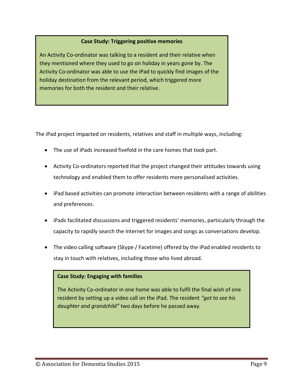#### **Case Study: Triggering positive memories**

An Activity Co-ordinator was talking to a resident and their relative when they mentioned where they used to go on holiday in years gone by. The Activity Co-ordinator was able to use the iPad to quickly find images of the holiday destination from the relevant period, which triggered more memories for both the resident and their relative.

The iPad project impacted on residents, relatives and staff in multiple ways, including:

- The use of iPads increased fivefold in the care homes that took part.
- Activity Co-ordinators reported that the project changed their attitudes towards using technology and enabled them to offer residents more personalised activities.
- iPad based activities can promote interaction between residents with a range of abilities and preferences.
- iPads facilitated discussions and triggered residents' memories, particularly through the capacity to rapidly search the internet for images and songs as conversations develop.
- The video calling software (Skype / Facetime) offered by the iPad enabled residents to stay in touch with relatives, including those who lived abroad.

#### **Case Study: Engaging with families**

The Activity Co-ordinator in one home was able to fulfil the final wish of one resident by setting up a video call on the iPad. The resident *"got to see his daughter and grandchild"* two days before he passed away.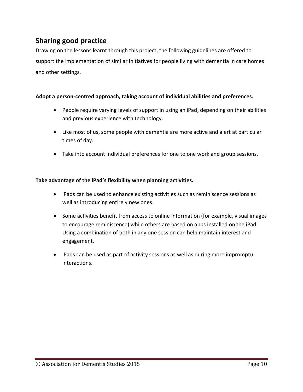# <span id="page-9-0"></span>**Sharing good practice**

Drawing on the lessons learnt through this project, the following guidelines are offered to support the implementation of similar initiatives for people living with dementia in care homes and other settings.

#### **Adopt a person-centred approach, taking account of individual abilities and preferences.**

- People require varying levels of support in using an iPad, depending on their abilities and previous experience with technology.
- Like most of us, some people with dementia are more active and alert at particular times of day.
- Take into account individual preferences for one to one work and group sessions.

#### **Take advantage of the iPad's flexibility when planning activities.**

- iPads can be used to enhance existing activities such as reminiscence sessions as well as introducing entirely new ones.
- Some activities benefit from access to online information (for example, visual images to encourage reminiscence) while others are based on apps installed on the iPad. Using a combination of both in any one session can help maintain interest and engagement.
- iPads can be used as part of activity sessions as well as during more impromptu interactions.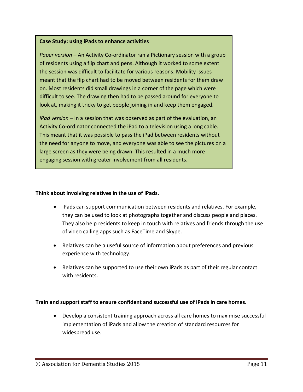#### **Case Study: using iPads to enhance activities**

*Paper version –* An Activity Co-ordinator ran a Pictionary session with a group of residents using a flip chart and pens. Although it worked to some extent the session was difficult to facilitate for various reasons. Mobility issues meant that the flip chart had to be moved between residents for them draw on. Most residents did small drawings in a corner of the page which were difficult to see. The drawing then had to be passed around for everyone to look at, making it tricky to get people joining in and keep them engaged.

*iPad version* – In a session that was observed as part of the evaluation, an Activity Co-ordinator connected the iPad to a television using a long cable. This meant that it was possible to pass the iPad between residents without the need for anyone to move, and everyone was able to see the pictures on a large screen as they were being drawn. This resulted in a much more engaging session with greater involvement from all residents.

#### **Think about involving relatives in the use of iPads.**

- iPads can support communication between residents and relatives. For example, they can be used to look at photographs together and discuss people and places. They also help residents to keep in touch with relatives and friends through the use of video calling apps such as FaceTime and Skype.
- Relatives can be a useful source of information about preferences and previous experience with technology.
- Relatives can be supported to use their own iPads as part of their regular contact with residents.

#### **Train and support staff to ensure confident and successful use of iPads in care homes.**

 Develop a consistent training approach across all care homes to maximise successful implementation of iPads and allow the creation of standard resources for widespread use.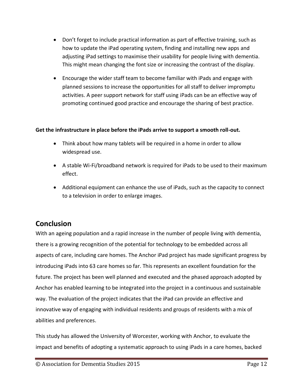- Don't forget to include practical information as part of effective training, such as how to update the iPad operating system, finding and installing new apps and adjusting iPad settings to maximise their usability for people living with dementia. This might mean changing the font size or increasing the contrast of the display.
- Encourage the wider staff team to become familiar with iPads and engage with planned sessions to increase the opportunities for all staff to deliver impromptu activities. A peer support network for staff using iPads can be an effective way of promoting continued good practice and encourage the sharing of best practice.

#### **Get the infrastructure in place before the iPads arrive to support a smooth roll-out.**

- Think about how many tablets will be required in a home in order to allow widespread use.
- A stable Wi-Fi/broadband network is required for iPads to be used to their maximum effect.
- Additional equipment can enhance the use of iPads, such as the capacity to connect to a television in order to enlarge images.

# <span id="page-11-0"></span>**Conclusion**

With an ageing population and a rapid increase in the number of people living with dementia, there is a growing recognition of the potential for technology to be embedded across all aspects of care, including care homes. The Anchor iPad project has made significant progress by introducing iPads into 63 care homes so far. This represents an excellent foundation for the future. The project has been well planned and executed and the phased approach adopted by Anchor has enabled learning to be integrated into the project in a continuous and sustainable way. The evaluation of the project indicates that the iPad can provide an effective and innovative way of engaging with individual residents and groups of residents with a mix of abilities and preferences.

This study has allowed the University of Worcester, working with Anchor, to evaluate the impact and benefits of adopting a systematic approach to using iPads in a care homes, backed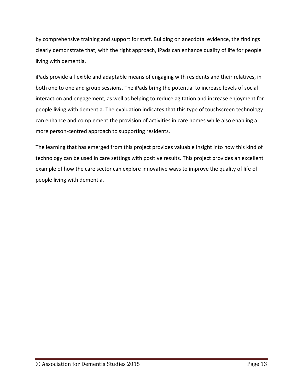by comprehensive training and support for staff. Building on anecdotal evidence, the findings clearly demonstrate that, with the right approach, iPads can enhance quality of life for people living with dementia.

iPads provide a flexible and adaptable means of engaging with residents and their relatives, in both one to one and group sessions. The iPads bring the potential to increase levels of social interaction and engagement, as well as helping to reduce agitation and increase enjoyment for people living with dementia. The evaluation indicates that this type of touchscreen technology can enhance and complement the provision of activities in care homes while also enabling a more person-centred approach to supporting residents.

The learning that has emerged from this project provides valuable insight into how this kind of technology can be used in care settings with positive results. This project provides an excellent example of how the care sector can explore innovative ways to improve the quality of life of people living with dementia.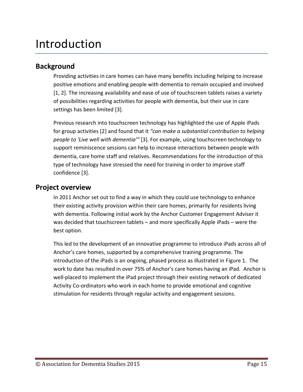# <span id="page-14-0"></span>Introduction

# <span id="page-14-1"></span>**Background**

Providing activities in care homes can have many benefits including helping to increase positive emotions and enabling people with dementia to remain occupied and involved [1, 2]. The increasing availability and ease of use of touchscreen tablets raises a variety of possibilities regarding activities for people with dementia, but their use in care settings has been limited [3].

Previous research into touchscreen technology has highlighted the use of Apple iPads for group activities [2] and found that it *"can make a substantial contribution to helping people to 'Live well with dementia'"* [3]. For example, using touchscreen technology to support reminiscence sessions can help to increase interactions between people with dementia, care home staff and relatives. Recommendations for the introduction of this type of technology have stressed the need for training in order to improve staff confidence [3].

## <span id="page-14-2"></span>**Project overview**

In 2011 Anchor set out to find a way in which they could use technology to enhance their existing activity provision within their care homes, primarily for residents living with dementia. Following initial work by the Anchor Customer Engagement Adviser it was decided that touchscreen tablets – and more specifically Apple iPads – were the best option.

This led to the development of an innovative programme to introduce iPads across all of Anchor's care homes, supported by a comprehensive training programme. The introduction of the iPads is an ongoing, phased process as illustrated in [Figure 1.](#page-15-1) The work to date has resulted in over 75% of Anchor's care homes having an iPad. Anchor is well-placed to implement the iPad project through their existing network of dedicated Activity Co-ordinators who work in each home to provide emotional and cognitive stimulation for residents through regular activity and engagement sessions.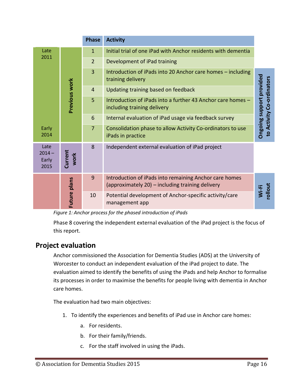|                                   | <b>Phase</b><br><b>Activity</b> |                |                                                                                                            |                                                       |
|-----------------------------------|---------------------------------|----------------|------------------------------------------------------------------------------------------------------------|-------------------------------------------------------|
| Late                              |                                 | $\mathbf{1}$   | Initial trial of one iPad with Anchor residents with dementia                                              |                                                       |
| 2011                              |                                 | $\overline{2}$ | Development of iPad training                                                                               |                                                       |
|                                   |                                 | $\overline{3}$ | Introduction of iPads into 20 Anchor care homes - including<br>training delivery                           |                                                       |
|                                   |                                 | 4              | Updating training based on feedback                                                                        |                                                       |
|                                   | Previous work                   | 5              | Introduction of iPads into a further 43 Anchor care homes -<br>including training delivery                 | Ongoing support provided<br>to Activity Co-ordinators |
|                                   |                                 | 6              | Internal evaluation of iPad usage via feedback survey                                                      |                                                       |
| Early<br>2014                     |                                 | $\overline{7}$ | Consolidation phase to allow Activity Co-ordinators to use<br>iPads in practice                            |                                                       |
| Late<br>$2014 -$<br>Early<br>2015 | Current<br>work                 | 8              | Independent external evaluation of iPad project                                                            |                                                       |
|                                   |                                 | 9              | Introduction of iPads into remaining Anchor care homes<br>(approximately 20) – including training delivery | tuollo:                                               |
|                                   | Future plans                    | 10             | Potential development of Anchor-specific activity/care<br>management app                                   | Wi-Fi                                                 |

<span id="page-15-1"></span>*Figure 1: Anchor process for the phased introduction of iPads*

Phase 8 covering the independent external evaluation of the iPad project is the focus of this report.

# <span id="page-15-0"></span>**Project evaluation**

Anchor commissioned the Association for Dementia Studies (ADS) at the University of Worcester to conduct an independent evaluation of the iPad project to date. The evaluation aimed to identify the benefits of using the iPads and help Anchor to formalise its processes in order to maximise the benefits for people living with dementia in Anchor care homes.

The evaluation had two main objectives:

- 1. To identify the experiences and benefits of iPad use in Anchor care homes:
	- a. For residents.
	- b. For their family/friends.
	- c. For the staff involved in using the iPads.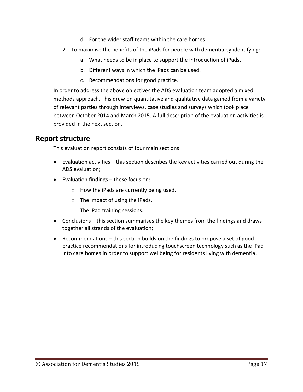- d. For the wider staff teams within the care homes.
- 2. To maximise the benefits of the iPads for people with dementia by identifying:
	- a. What needs to be in place to support the introduction of iPads.
	- b. Different ways in which the iPads can be used.
	- c. Recommendations for good practice.

In order to address the above objectives the ADS evaluation team adopted a mixed methods approach. This drew on quantitative and qualitative data gained from a variety of relevant parties through interviews, case studies and surveys which took place between October 2014 and March 2015. A full description of the evaluation activities is provided in the next section.

# <span id="page-16-0"></span>**Report structure**

This evaluation report consists of four main sections:

- Evaluation activities this section describes the key activities carried out during the ADS evaluation;
- Evaluation findings these focus on:
	- o How the iPads are currently being used.
	- o The impact of using the iPads.
	- o The iPad training sessions.
- Conclusions this section summarises the key themes from the findings and draws together all strands of the evaluation;
- Recommendations this section builds on the findings to propose a set of good practice recommendations for introducing touchscreen technology such as the iPad into care homes in order to support wellbeing for residents living with dementia.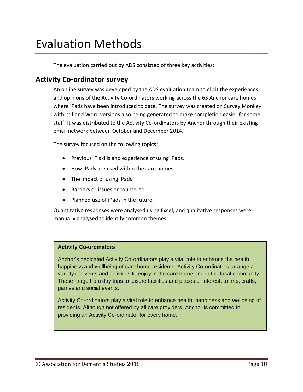# <span id="page-17-0"></span>Evaluation Methods

The evaluation carried out by ADS consisted of three key activities:

## <span id="page-17-1"></span>**Activity Co-ordinator survey**

An online survey was developed by the ADS evaluation team to elicit the experiences and opinions of the Activity Co-ordinators working across the 63 Anchor care homes where iPads have been introduced to date. The survey was created on Survey Monkey with pdf and Word versions also being generated to make completion easier for some staff. It was distributed to the Activity Co-ordinators by Anchor through their existing email network between October and December 2014.

The survey focused on the following topics:

- Previous IT skills and experience of using iPads.
- How iPads are used within the care homes.
- The impact of using iPads.
- Barriers or issues encountered.
- Planned use of iPads in the future.

Quantitative responses were analysed using Excel, and qualitative responses were manually analysed to identify common themes.

#### **Activity Co-ordinators**

Anchor's dedicated Activity Co-ordinators play a vital role to enhance the health, happiness and wellbeing of care home residents. Activity Co-ordinators arrange a variety of events and activities to enjoy in the care home and in the local community. These range from day trips to leisure facilities and places of interest, to arts, crafts, games and social events.

Activity Co-ordinators play a vital role to enhance health, happiness and wellbeing of residents. Although not offered by all care providers, Anchor is committed to providing an Activity Co-ordinator for every home.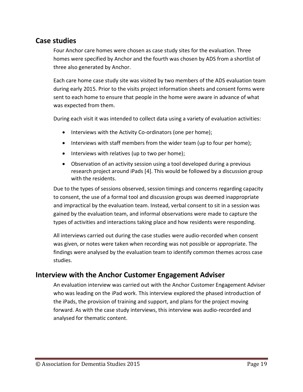# <span id="page-18-0"></span>**Case studies**

Four Anchor care homes were chosen as case study sites for the evaluation. Three homes were specified by Anchor and the fourth was chosen by ADS from a shortlist of three also generated by Anchor.

Each care home case study site was visited by two members of the ADS evaluation team during early 2015. Prior to the visits project information sheets and consent forms were sent to each home to ensure that people in the home were aware in advance of what was expected from them.

During each visit it was intended to collect data using a variety of evaluation activities:

- Interviews with the Activity Co-ordinators (one per home);
- Interviews with staff members from the wider team (up to four per home);
- Interviews with relatives (up to two per home);
- Observation of an activity session using a tool developed during a previous research project around iPads [4]. This would be followed by a discussion group with the residents.

Due to the types of sessions observed, session timings and concerns regarding capacity to consent, the use of a formal tool and discussion groups was deemed inappropriate and impractical by the evaluation team. Instead, verbal consent to sit in a session was gained by the evaluation team, and informal observations were made to capture the types of activities and interactions taking place and how residents were responding.

All interviews carried out during the case studies were audio-recorded when consent was given, or notes were taken when recording was not possible or appropriate. The findings were analysed by the evaluation team to identify common themes across case studies.

# <span id="page-18-1"></span>**Interview with the Anchor Customer Engagement Adviser**

An evaluation interview was carried out with the Anchor Customer Engagement Adviser who was leading on the iPad work. This interview explored the phased introduction of the iPads, the provision of training and support, and plans for the project moving forward. As with the case study interviews, this interview was audio-recorded and analysed for thematic content.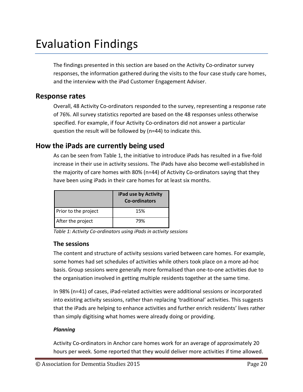# <span id="page-19-0"></span>Evaluation Findings

The findings presented in this section are based on the Activity Co-ordinator survey responses, the information gathered during the visits to the four case study care homes, and the interview with the iPad Customer Engagement Adviser.

## <span id="page-19-1"></span>**Response rates**

Overall, 48 Activity Co-ordinators responded to the survey, representing a response rate of 76%. All survey statistics reported are based on the 48 responses unless otherwise specified. For example, if four Activity Co-ordinators did not answer a particular question the result will be followed by (n=44) to indicate this.

## <span id="page-19-2"></span>**How the iPads are currently being used**

As can be seen from [Table 1,](#page-19-4) the initiative to introduce iPads has resulted in a five-fold increase in their use in activity sessions. The iPads have also become well-established in the majority of care homes with 80% (n=44) of Activity Co-ordinators saying that they have been using iPads in their care homes for at least six months.

|                      | iPad use by Activity<br>Co-ordinators |
|----------------------|---------------------------------------|
| Prior to the project | 15%                                   |
| After the project    | 79%                                   |

<span id="page-19-4"></span>*Table 1: Activity Co-ordinators using iPads in activity sessions* 

## <span id="page-19-3"></span>**The sessions**

The content and structure of activity sessions varied between care homes. For example, some homes had set schedules of activities while others took place on a more ad-hoc basis. Group sessions were generally more formalised than one-to-one activities due to the organisation involved in getting multiple residents together at the same time.

In 98% (n=41) of cases, iPad-related activities were additional sessions or incorporated into existing activity sessions, rather than replacing 'traditional' activities. This suggests that the iPads are helping to enhance activities and further enrich residents' lives rather than simply digitising what homes were already doing or providing.

#### *Planning*

Activity Co-ordinators in Anchor care homes work for an average of approximately 20 hours per week. Some reported that they would deliver more activities if time allowed.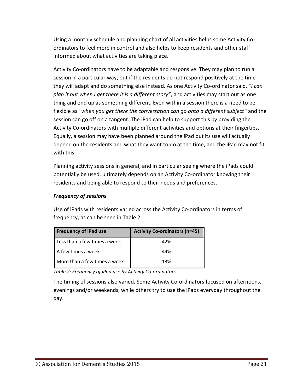Using a monthly schedule and planning chart of all activities helps some Activity Coordinators to feel more in control and also helps to keep residents and other staff informed about what activities are taking place.

Activity Co-ordinators have to be adaptable and responsive. They may plan to run a session in a particular way, but if the residents do not respond positively at the time they will adapt and do something else instead. As one Activity Co-ordinator said, *"I can plan it but when I get there it is a different story"*, and activities may start out as one thing and end up as something different. Even within a session there is a need to be flexible as *"when you get there the conversation can go onto a different subject"* and the session can go off on a tangent. The iPad can help to support this by providing the Activity Co-ordinators with multiple different activities and options at their fingertips. Equally, a session may have been planned around the iPad but its use will actually depend on the residents and what they want to do at the time, and the iPad may not fit with this.

Planning activity sessions in general, and in particular seeing where the iPads could potentially be used, ultimately depends on an Activity Co-ordinator knowing their residents and being able to respond to their needs and preferences.

#### *Frequency of sessions*

Use of iPads with residents varied across the Activity Co-ordinators in terms of frequency, as can be seen in [Table 2.](#page-20-0)

| <b>Frequency of iPad use</b> | <b>Activity Co-ordinators (n=45)</b> |
|------------------------------|--------------------------------------|
| Less than a few times a week | 42%                                  |
| A few times a week           | 44%                                  |
| More than a few times a week | 13%                                  |

<span id="page-20-0"></span>*Table 2: Frequency of iPad use by Activity Co-ordinators*

The timing of sessions also varied. Some Activity Co-ordinators focused on afternoons, evenings and/or weekends, while others try to use the iPads everyday throughout the day.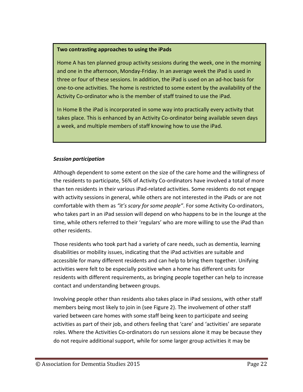#### **Two contrasting approaches to using the iPads**

Home A has ten planned group activity sessions during the week, one in the morning and one in the afternoon, Monday-Friday. In an average week the iPad is used in three or four of these sessions. In addition, the iPad is used on an ad-hoc basis for one-to-one activities. The home is restricted to some extent by the availability of the Activity Co-ordinator who is the member of staff trained to use the iPad.

In Home B the iPad is incorporated in some way into practically every activity that takes place. This is enhanced by an Activity Co-ordinator being available seven days a week, and multiple members of staff knowing how to use the iPad.

#### *Session participation*

Although dependent to some extent on the size of the care home and the willingness of the residents to participate, 56% of Activity Co-ordinators have involved a total of more than ten residents in their various iPad-related activities. Some residents do not engage with activity sessions in general, while others are not interested in the iPads or are not comfortable with them as *"it's scary for some people"*. For some Activity Co-ordinators, who takes part in an iPad session will depend on who happens to be in the lounge at the time, while others referred to their 'regulars' who are more willing to use the iPad than other residents.

Those residents who took part had a variety of care needs, such as dementia, learning disabilities or mobility issues, indicating that the iPad activities are suitable and accessible for many different residents and can help to bring them together. Unifying activities were felt to be especially positive when a home has different units for residents with different requirements, as bringing people together can help to increase contact and understanding between groups.

Involving people other than residents also takes place in iPad sessions, with other staff members being most likely to join in (see [Figure 2\)](#page-22-1). The involvement of other staff varied between care homes with some staff being keen to participate and seeing activities as part of their job, and others feeling that 'care' and 'activities' are separate roles. Where the Activities Co-ordinators do run sessions alone it may be because they do not require additional support, while for some larger group activities it may be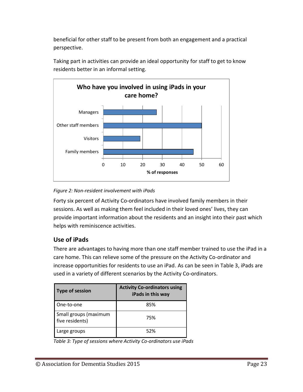beneficial for other staff to be present from both an engagement and a practical perspective.



Taking part in activities can provide an ideal opportunity for staff to get to know residents better in an informal setting.

<span id="page-22-1"></span>*Figure 2: Non-resident involvement with iPads*

Forty six percent of Activity Co-ordinators have involved family members in their sessions. As well as making them feel included in their loved ones' lives, they can provide important information about the residents and an insight into their past which helps with reminiscence activities.

## <span id="page-22-0"></span>**Use of iPads**

There are advantages to having more than one staff member trained to use the iPad in a care home. This can relieve some of the pressure on the Activity Co-ordinator and increase opportunities for residents to use an iPad. As can be seen in [Table 3,](#page-22-2) iPads are used in a variety of different scenarios by the Activity Co-ordinators.

| Type of session                          | <b>Activity Co-ordinators using</b><br>iPads in this way |
|------------------------------------------|----------------------------------------------------------|
| One-to-one                               | 85%                                                      |
| Small groups (maximum<br>five residents) | 75%                                                      |
| Large groups                             | 52%                                                      |

<span id="page-22-2"></span>*Table 3: Type of sessions where Activity Co-ordinators use iPads*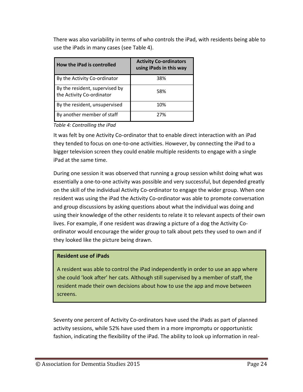There was also variability in terms of who controls the iPad, with residents being able to use the iPads in many cases (see [Table 4\)](#page-23-0).

| How the iPad is controlled                                  | <b>Activity Co-ordinators</b><br>using iPads in this way |
|-------------------------------------------------------------|----------------------------------------------------------|
| By the Activity Co-ordinator                                | 38%                                                      |
| By the resident, supervised by<br>the Activity Co-ordinator | 58%                                                      |
| By the resident, unsupervised                               | 10%                                                      |
| By another member of staff                                  | 27%                                                      |

<span id="page-23-0"></span>*Table 4: Controlling the iPad*

It was felt by one Activity Co-ordinator that to enable direct interaction with an iPad they tended to focus on one-to-one activities. However, by connecting the iPad to a bigger television screen they could enable multiple residents to engage with a single iPad at the same time.

During one session it was observed that running a group session whilst doing what was essentially a one-to-one activity was possible and very successful, but depended greatly on the skill of the individual Activity Co-ordinator to engage the wider group. When one resident was using the iPad the Activity Co-ordinator was able to promote conversation and group discussions by asking questions about what the individual was doing and using their knowledge of the other residents to relate it to relevant aspects of their own lives. For example, if one resident was drawing a picture of a dog the Activity Coordinator would encourage the wider group to talk about pets they used to own and if they looked like the picture being drawn.

#### **Resident use of iPads**

A resident was able to control the iPad independently in order to use an app where she could 'look after' her cats. Although still supervised by a member of staff, the resident made their own decisions about how to use the app and move between screens.

Seventy one percent of Activity Co-ordinators have used the iPads as part of planned activity sessions, while 52% have used them in a more impromptu or opportunistic fashion, indicating the flexibility of the iPad. The ability to look up information in real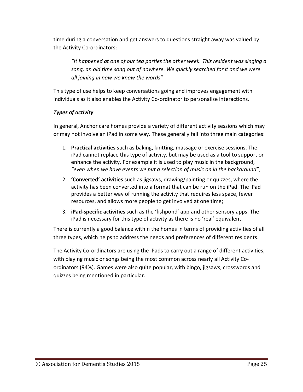time during a conversation and get answers to questions straight away was valued by the Activity Co-ordinators:

*"It happened at one of our tea parties the other week. This resident was singing a song, an old time song out of nowhere. We quickly searched for it and we were all joining in now we know the words"*

This type of use helps to keep conversations going and improves engagement with individuals as it also enables the Activity Co-ordinator to personalise interactions.

### *Types of activity*

In general, Anchor care homes provide a variety of different activity sessions which may or may not involve an iPad in some way. These generally fall into three main categories:

- 1. **Practical activities** such as baking, knitting, massage or exercise sessions. The iPad cannot replace this type of activity, but may be used as a tool to support or enhance the activity. For example it is used to play music in the background, *"even when we have events we put a selection of music on in the background"*;
- 2. **'Converted' activities** such as jigsaws, drawing/painting or quizzes, where the activity has been converted into a format that can be run on the iPad. The iPad provides a better way of running the activity that requires less space, fewer resources, and allows more people to get involved at one time;
- 3. **iPad-specific activities** such as the 'fishpond' app and other sensory apps. The iPad is necessary for this type of activity as there is no 'real' equivalent.

There is currently a good balance within the homes in terms of providing activities of all three types, which helps to address the needs and preferences of different residents.

The Activity Co-ordinators are using the iPads to carry out a range of different activities, with playing music or songs being the most common across nearly all Activity Coordinators (94%). Games were also quite popular, with bingo, jigsaws, crosswords and quizzes being mentioned in particular.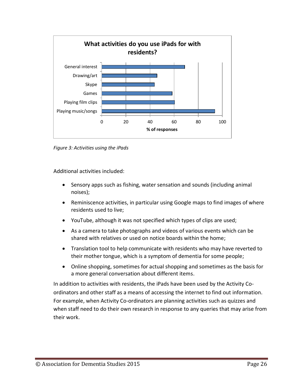

*Figure 3: Activities using the iPads*

Additional activities included:

- Sensory apps such as fishing, water sensation and sounds (including animal noises);
- Reminiscence activities, in particular using Google maps to find images of where residents used to live;
- YouTube, although it was not specified which types of clips are used;
- As a camera to take photographs and videos of various events which can be shared with relatives or used on notice boards within the home;
- Translation tool to help communicate with residents who may have reverted to their mother tongue, which is a symptom of dementia for some people;
- Online shopping, sometimes for actual shopping and sometimes as the basis for a more general conversation about different items.

In addition to activities with residents, the iPads have been used by the Activity Coordinators and other staff as a means of accessing the internet to find out information. For example, when Activity Co-ordinators are planning activities such as quizzes and when staff need to do their own research in response to any queries that may arise from their work.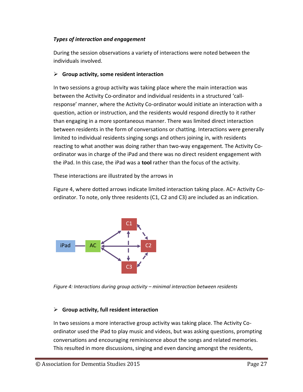#### *Types of interaction and engagement*

During the session observations a variety of interactions were noted between the individuals involved.

#### **Group activity, some resident interaction**

In two sessions a group activity was taking place where the main interaction was between the Activity Co-ordinator and individual residents in a structured 'callresponse' manner, where the Activity Co-ordinator would initiate an interaction with a question, action or instruction, and the residents would respond directly to it rather than engaging in a more spontaneous manner. There was limited direct interaction between residents in the form of conversations or chatting. Interactions were generally limited to individual residents singing songs and others joining in, with residents reacting to what another was doing rather than two-way engagement. The Activity Coordinator was in charge of the iPad and there was no direct resident engagement with the iPad. In this case, the iPad was a **tool** rather than the focus of the activity.

These interactions are illustrated by the arrows in

[Figure](#page-26-0) 4, where dotted arrows indicate limited interaction taking place. AC= Activity Coordinator. To note, only three residents (C1, C2 and C3) are included as an indication.



<span id="page-26-0"></span>*Figure 4: Interactions during group activity – minimal interaction between residents*

#### **Group activity, full resident interaction**

In two sessions a more interactive group activity was taking place. The Activity Coordinator used the iPad to play music and videos, but was asking questions, prompting conversations and encouraging reminiscence about the songs and related memories. This resulted in more discussions, singing and even dancing amongst the residents,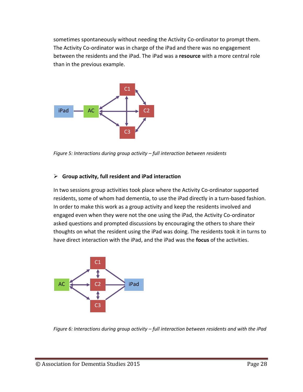sometimes spontaneously without needing the Activity Co-ordinator to prompt them. The Activity Co-ordinator was in charge of the iPad and there was no engagement between the residents and the iPad. The iPad was a **resource** with a more central role than in the previous example.



*Figure 5: Interactions during group activity – full interaction between residents*

#### **Group activity, full resident and iPad interaction**

In two sessions group activities took place where the Activity Co-ordinator supported residents, some of whom had dementia, to use the iPad directly in a turn-based fashion. In order to make this work as a group activity and keep the residents involved and engaged even when they were not the one using the iPad, the Activity Co-ordinator asked questions and prompted discussions by encouraging the others to share their thoughts on what the resident using the iPad was doing. The residents took it in turns to have direct interaction with the iPad, and the iPad was the **focus** of the activities.



*Figure 6: Interactions during group activity – full interaction between residents and with the iPad*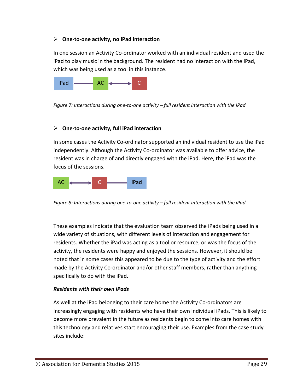#### **One-to-one activity, no iPad interaction**

In one session an Activity Co-ordinator worked with an individual resident and used the iPad to play music in the background. The resident had no interaction with the iPad, which was being used as a tool in this instance.



*Figure 7: Interactions during one-to-one activity – full resident interaction with the iPad*

#### **One-to-one activity, full iPad interaction**

In some cases the Activity Co-ordinator supported an individual resident to use the iPad independently. Although the Activity Co-ordinator was available to offer advice, the resident was in charge of and directly engaged with the iPad. Here, the iPad was the focus of the sessions.



*Figure 8: Interactions during one-to-one activity – full resident interaction with the iPad*

These examples indicate that the evaluation team observed the iPads being used in a wide variety of situations, with different levels of interaction and engagement for residents. Whether the iPad was acting as a tool or resource, or was the focus of the activity, the residents were happy and enjoyed the sessions. However, it should be noted that in some cases this appeared to be due to the type of activity and the effort made by the Activity Co-ordinator and/or other staff members, rather than anything specifically to do with the iPad.

#### *Residents with their own iPads*

As well at the iPad belonging to their care home the Activity Co-ordinators are increasingly engaging with residents who have their own individual iPads. This is likely to become more prevalent in the future as residents begin to come into care homes with this technology and relatives start encouraging their use. Examples from the case study sites include: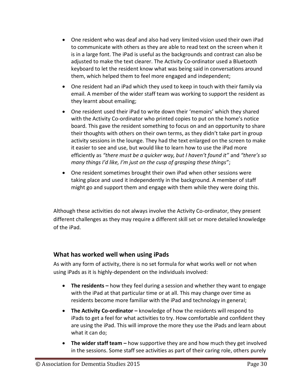- One resident who was deaf and also had very limited vision used their own iPad to communicate with others as they are able to read text on the screen when it is in a large font. The iPad is useful as the backgrounds and contrast can also be adjusted to make the text clearer. The Activity Co-ordinator used a Bluetooth keyboard to let the resident know what was being said in conversations around them, which helped them to feel more engaged and independent;
- One resident had an iPad which they used to keep in touch with their family via email. A member of the wider staff team was working to support the resident as they learnt about emailing;
- One resident used their iPad to write down their 'memoirs' which they shared with the Activity Co-ordinator who printed copies to put on the home's notice board. This gave the resident something to focus on and an opportunity to share their thoughts with others on their own terms, as they didn't take part in group activity sessions in the lounge. They had the text enlarged on the screen to make it easier to see and use, but would like to learn how to use the iPad more efficiently as *"there must be a quicker way, but I haven't found it"* and *"there's so many things I'd like, I'm just on the cusp of grasping these things"*;
- One resident sometimes brought their own iPad when other sessions were taking place and used it independently in the background. A member of staff might go and support them and engage with them while they were doing this.

Although these activities do not always involve the Activity Co-ordinator, they present different challenges as they may require a different skill set or more detailed knowledge of the iPad.

## <span id="page-29-0"></span>**What has worked well when using iPads**

As with any form of activity, there is no set formula for what works well or not when using iPads as it is highly-dependent on the individuals involved:

- **The residents –** how they feel during a session and whether they want to engage with the iPad at that particular time or at all. This may change over time as residents become more familiar with the iPad and technology in general;
- **•** The Activity Co-ordinator knowledge of how the residents will respond to iPads to get a feel for what activities to try. How comfortable and confident they are using the iPad. This will improve the more they use the iPads and learn about what it can do;
- **The wider staff team –** how supportive they are and how much they get involved in the sessions. Some staff see activities as part of their caring role, others purely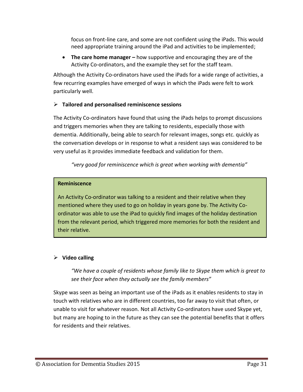focus on front-line care, and some are not confident using the iPads. This would need appropriate training around the iPad and activities to be implemented;

**•** The care home manager – how supportive and encouraging they are of the Activity Co-ordinators, and the example they set for the staff team.

Although the Activity Co-ordinators have used the iPads for a wide range of activities, a few recurring examples have emerged of ways in which the iPads were felt to work particularly well.

#### **Tailored and personalised reminiscence sessions**

The Activity Co-ordinators have found that using the iPads helps to prompt discussions and triggers memories when they are talking to residents, especially those with dementia. Additionally, being able to search for relevant images, songs etc. quickly as the conversation develops or in response to what a resident says was considered to be very useful as it provides immediate feedback and validation for them.

*"very good for reminiscence which is great when working with dementia"*

#### **Reminiscence**

An Activity Co-ordinator was talking to a resident and their relative when they mentioned where they used to go on holiday in years gone by. The Activity Coordinator was able to use the iPad to quickly find images of the holiday destination from the relevant period, which triggered more memories for both the resident and their relative.

## **Video calling**

*"We have a couple of residents whose family like to Skype them which is great to see their face when they actually see the family members"*

Skype was seen as being an important use of the iPads as it enables residents to stay in touch with relatives who are in different countries, too far away to visit that often, or unable to visit for whatever reason. Not all Activity Co-ordinators have used Skype yet, but many are hoping to in the future as they can see the potential benefits that it offers for residents and their relatives.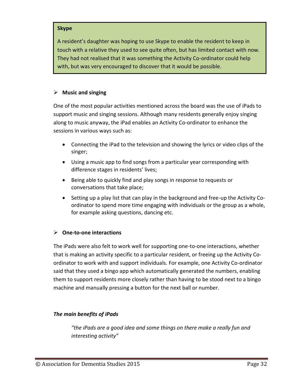#### **Skype**

A resident's daughter was hoping to use Skype to enable the resident to keep in touch with a relative they used to see quite often, but has limited contact with now. They had not realised that it was something the Activity Co-ordinator could help with, but was very encouraged to discover that it would be possible.

#### **Music and singing**

One of the most popular activities mentioned across the board was the use of iPads to support music and singing sessions. Although many residents generally enjoy singing along to music anyway, the iPad enables an Activity Co-ordinator to enhance the sessions in various ways such as:

- Connecting the iPad to the television and showing the lyrics or video clips of the singer;
- Using a music app to find songs from a particular year corresponding with difference stages in residents' lives;
- Being able to quickly find and play songs in response to requests or conversations that take place;
- Setting up a play list that can play in the background and free-up the Activity Coordinator to spend more time engaging with individuals or the group as a whole, for example asking questions, dancing etc.

#### **One-to-one interactions**

The iPads were also felt to work well for supporting one-to-one interactions, whether that is making an activity specific to a particular resident, or freeing up the Activity Coordinator to work with and support individuals. For example, one Activity Co-ordinator said that they used a bingo app which automatically generated the numbers, enabling them to support residents more closely rather than having to be stood next to a bingo machine and manually pressing a button for the next ball or number.

#### *The main benefits of iPads*

*"the iPads are a good idea and some things on there make a really fun and interesting activity"*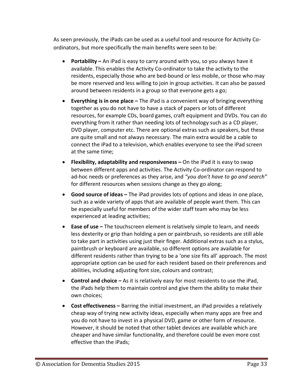As seen previously, the iPads can be used as a useful tool and resource for Activity Coordinators, but more specifically the main benefits were seen to be:

- **Portability –** An iPad is easy to carry around with you, so you always have it available. This enables the Activity Co-ordinator to take the activity to the residents, especially those who are bed-bound or less mobile, or those who may be more reserved and less willing to join in group activities. It can also be passed around between residents in a group so that everyone gets a go;
- **Everything is in one place –** The iPad is a convenient way of bringing everything together as you do not have to have a stack of papers or lots of different resources, for example CDs, board games, craft equipment and DVDs. You can do everything from it rather than needing lots of technology such as a CD player, DVD player, computer etc. There are optional extras such as speakers, but these are quite small and not always necessary. The main extra would be a cable to connect the iPad to a television, which enables everyone to see the iPad screen at the same time;
- **Flexibility, adaptability and responsiveness –** On the iPad it is easy to swap between different apps and activities. The Activity Co-ordinator can respond to ad-hoc needs or preferences as they arise, and *"you don't have to go and search"* for different resources when sessions change as they go along;
- **Good source of ideas –** The iPad provides lots of options and ideas in one place, such as a wide variety of apps that are available of people want them. This can be especially useful for members of the wider staff team who may be less experienced at leading activities;
- **Ease of use** The touchscreen element is relatively simple to learn, and needs less dexterity or grip than holding a pen or paintbrush, so residents are still able to take part in activities using just their finger. Additional extras such as a stylus, paintbrush or keyboard are available, so different options are available for different residents rather than trying to be a 'one size fits all' approach. The most appropriate option can be used for each resident based on their preferences and abilities, including adjusting font size, colours and contrast;
- **Control and choice –** As it is relatively easy for most residents to use the iPad, the iPads help them to maintain control and give them the ability to make their own choices;
- **Cost effectiveness –** Barring the initial investment, an iPad provides a relatively cheap way of trying new activity ideas, especially when many apps are free and you do not have to invest in a physical DVD, game or other form of resource. However, it should be noted that other tablet devices are available which are cheaper and have similar functionality, and therefore could be even more cost effective than the iPads;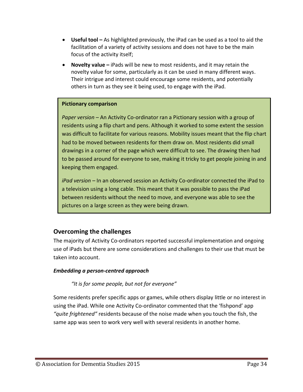- **Useful tool –** As highlighted previously, the iPad can be used as a tool to aid the facilitation of a variety of activity sessions and does not have to be the main focus of the activity itself;
- **Novelty value –** iPads will be new to most residents, and it may retain the novelty value for some, particularly as it can be used in many different ways. Their intrigue and interest could encourage some residents, and potentially others in turn as they see it being used, to engage with the iPad.

#### **Pictionary comparison**

*Paper version –* An Activity Co-ordinator ran a Pictionary session with a group of residents using a flip chart and pens. Although it worked to some extent the session was difficult to facilitate for various reasons. Mobility issues meant that the flip chart had to be moved between residents for them draw on. Most residents did small drawings in a corner of the page which were difficult to see. The drawing then had to be passed around for everyone to see, making it tricky to get people joining in and keeping them engaged.

*iPad version –* In an observed session an Activity Co-ordinator connected the iPad to a television using a long cable. This meant that it was possible to pass the iPad between residents without the need to move, and everyone was able to see the pictures on a large screen as they were being drawn.

## <span id="page-33-0"></span>**Overcoming the challenges**

The majority of Activity Co-ordinators reported successful implementation and ongoing use of iPads but there are some considerations and challenges to their use that must be taken into account.

#### *Embedding a person-centred approach*

#### *"It is for some people, but not for everyone"*

Some residents prefer specific apps or games, while others display little or no interest in using the iPad. While one Activity Co-ordinator commented that the 'fishpond' app *"quite frightened"* residents because of the noise made when you touch the fish, the same app was seen to work very well with several residents in another home.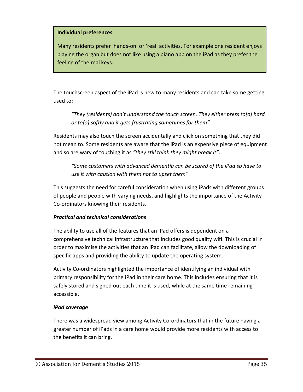#### **Individual preferences**

Many residents prefer 'hands-on' or 'real' activities. For example one resident enjoys playing the organ but does not like using a piano app on the iPad as they prefer the feeling of the real keys.

The touchscreen aspect of the iPad is new to many residents and can take some getting used to:

*"They (residents) don't understand the touch screen. They either press to[o] hard or to[o] softly and it gets frustrating sometimes for them"*

Residents may also touch the screen accidentally and click on something that they did not mean to. Some residents are aware that the iPad is an expensive piece of equipment and so are wary of touching it as *"they still think they might break it"*.

*"Some customers with advanced dementia can be scared of the iPad so have to use it with caution with them not to upset them"*

This suggests the need for careful consideration when using iPads with different groups of people and people with varying needs, and highlights the importance of the Activity Co-ordinators knowing their residents.

#### *Practical and technical considerations*

The ability to use all of the features that an iPad offers is dependent on a comprehensive technical infrastructure that includes good quality wifi. This is crucial in order to maximise the activities that an iPad can facilitate, allow the downloading of specific apps and providing the ability to update the operating system.

Activity Co-ordinators highlighted the importance of identifying an individual with primary responsibility for the iPad in their care home. This includes ensuring that it is safely stored and signed out each time it is used, while at the same time remaining accessible.

#### *iPad coverage*

There was a widespread view among Activity Co-ordinators that in the future having a greater number of iPads in a care home would provide more residents with access to the benefits it can bring.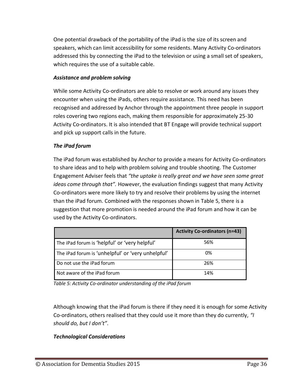One potential drawback of the portability of the iPad is the size of its screen and speakers, which can limit accessibility for some residents. Many Activity Co-ordinators addressed this by connecting the iPad to the television or using a small set of speakers, which requires the use of a suitable cable.

#### *Assistance and problem solving*

While some Activity Co-ordinators are able to resolve or work around any issues they encounter when using the iPads, others require assistance. This need has been recognised and addressed by Anchor through the appointment three people in support roles covering two regions each, making them responsible for approximately 25-30 Activity Co-ordinators. It is also intended that BT Engage will provide technical support and pick up support calls in the future.

#### *The iPad forum*

The iPad forum was established by Anchor to provide a means for Activity Co-ordinators to share ideas and to help with problem solving and trouble shooting. The Customer Engagement Adviser feels that *"the uptake is really great and we have seen some great ideas come through that".* However, the evaluation findings suggest that many Activity Co-ordinators were more likely to try and resolve their problems by using the internet than the iPad forum. Combined with the responses shown in [Table 5,](#page-35-0) there is a suggestion that more promotion is needed around the iPad forum and how it can be used by the Activity Co-ordinators.

|                                                   | <b>Activity Co-ordinators (n=43)</b> |
|---------------------------------------------------|--------------------------------------|
| The iPad forum is 'helpful' or 'very helpful'     | 56%                                  |
| The iPad forum is 'unhelpful' or 'very unhelpful' | 0%                                   |
| Do not use the iPad forum                         | 26%                                  |
| Not aware of the iPad forum                       | 14%                                  |

<span id="page-35-0"></span>*Table 5: Activity Co-ordinator understanding of the iPad forum*

Although knowing that the iPad forum is there if they need it is enough for some Activity Co-ordinators, others realised that they could use it more than they do currently, *"I should do, but I don't"*.

#### *Technological Considerations*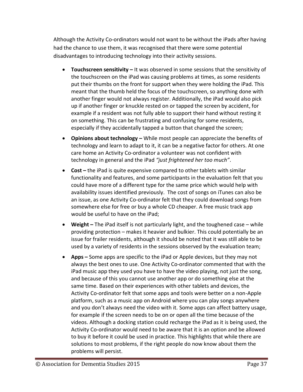Although the Activity Co-ordinators would not want to be without the iPads after having had the chance to use them, it was recognised that there were some potential disadvantages to introducing technology into their activity sessions.

- **Touchscreen sensitivity –** It was observed in some sessions that the sensitivity of the touchscreen on the iPad was causing problems at times, as some residents put their thumbs on the front for support when they were holding the iPad. This meant that the thumb held the focus of the touchscreen, so anything done with another finger would not always register. Additionally, the iPad would also pick up if another finger or knuckle rested on or tapped the screen by accident, for example if a resident was not fully able to support their hand without resting it on something. This can be frustrating and confusing for some residents, especially if they accidentally tapped a button that changed the screen;
- **Opinions about technology –** While most people can appreciate the benefits of technology and learn to adapt to it, it can be a negative factor for others. At one care home an Activity Co-ordinator a volunteer was not confident with technology in general and the iPad *"just frightened her too much"*.
- **Cost** the iPad is quite expensive compared to other tablets with similar functionality and features, and some participants in the evaluation felt that you could have more of a different type for the same price which would help with availability issues identified previously. The cost of songs on iTunes can also be an issue, as one Activity Co-ordinator felt that they could download songs from somewhere else for free or buy a whole CD cheaper. A free music track app would be useful to have on the iPad;
- **Weight –** The iPad itself is not particularly light, and the toughened case while providing protection – makes it heavier and bulkier. This could potentially be an issue for frailer residents, although it should be noted that it was still able to be used by a variety of residents in the sessions observed by the evaluation team;
- **Apps –** Some apps are specific to the iPad or Apple devices, but they may not always the best ones to use. One Activity Co-ordinator commented that with the iPad music app they used you have to have the video playing, not just the song, and because of this you cannot use another app or do something else at the same time. Based on their experiences with other tablets and devices, the Activity Co-ordinator felt that some apps and tools were better on a non-Apple platform, such as a music app on Android where you can play songs anywhere and you don't always need the video with it. Some apps can affect battery usage, for example if the screen needs to be on or open all the time because of the videos. Although a docking station could recharge the iPad as it is being used, the Activity Co-ordinator would need to be aware that it is an option and be allowed to buy it before it could be used in practice. This highlights that while there are solutions to most problems, if the right people do now know about them the problems will persist.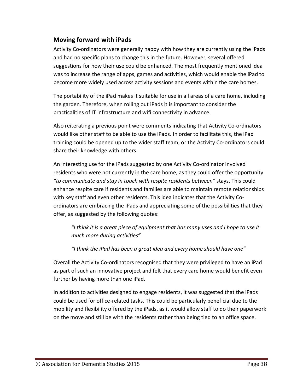## <span id="page-37-0"></span>**Moving forward with iPads**

Activity Co-ordinators were generally happy with how they are currently using the iPads and had no specific plans to change this in the future. However, several offered suggestions for how their use could be enhanced. The most frequently mentioned idea was to increase the range of apps, games and activities, which would enable the iPad to become more widely used across activity sessions and events within the care homes.

The portability of the iPad makes it suitable for use in all areas of a care home, including the garden. Therefore, when rolling out iPads it is important to consider the practicalities of IT infrastructure and wifi connectivity in advance.

Also reiterating a previous point were comments indicating that Activity Co-ordinators would like other staff to be able to use the iPads. In order to facilitate this, the iPad training could be opened up to the wider staff team, or the Activity Co-ordinators could share their knowledge with others.

An interesting use for the iPads suggested by one Activity Co-ordinator involved residents who were not currently in the care home, as they could offer the opportunity *"to communicate and stay in touch with respite residents between"* stays. This could enhance respite care if residents and families are able to maintain remote relationships with key staff and even other residents. This idea indicates that the Activity Coordinators are embracing the iPads and appreciating some of the possibilities that they offer, as suggested by the following quotes:

*"I think it is a great piece of equipment that has many uses and I hope to use it much more during activities"*

*"I think the iPad has been a great idea and every home should have one"*

Overall the Activity Co-ordinators recognised that they were privileged to have an iPad as part of such an innovative project and felt that every care home would benefit even further by having more than one iPad.

In addition to activities designed to engage residents, it was suggested that the iPads could be used for office-related tasks. This could be particularly beneficial due to the mobility and flexibility offered by the iPads, as it would allow staff to do their paperwork on the move and still be with the residents rather than being tied to an office space.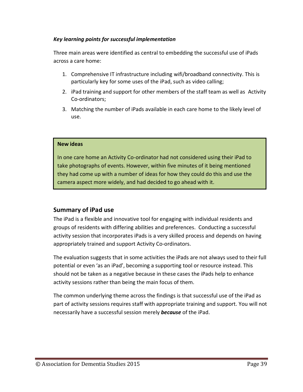#### *Key learning points for successful implementation*

Three main areas were identified as central to embedding the successful use of iPads across a care home:

- 1. Comprehensive IT infrastructure including wifi/broadband connectivity. This is particularly key for some uses of the iPad, such as video calling;
- 2. iPad training and support for other members of the staff team as well as Activity Co-ordinators;
- 3. Matching the number of iPads available in each care home to the likely level of use.

#### **New ideas**

In one care home an Activity Co-ordinator had not considered using their iPad to take photographs of events. However, within five minutes of it being mentioned they had come up with a number of ideas for how they could do this and use the camera aspect more widely, and had decided to go ahead with it.

## <span id="page-38-0"></span>**Summary of iPad use**

The iPad is a flexible and innovative tool for engaging with individual residents and groups of residents with differing abilities and preferences. Conducting a successful activity session that incorporates iPads is a very skilled process and depends on having appropriately trained and support Activity Co-ordinators.

The evaluation suggests that in some activities the iPads are not always used to their full potential or even 'as an iPad', becoming a supporting tool or resource instead. This should not be taken as a negative because in these cases the iPads help to enhance activity sessions rather than being the main focus of them.

The common underlying theme across the findings is that successful use of the iPad as part of activity sessions requires staff with appropriate training and support. You will not necessarily have a successful session merely *because* of the iPad.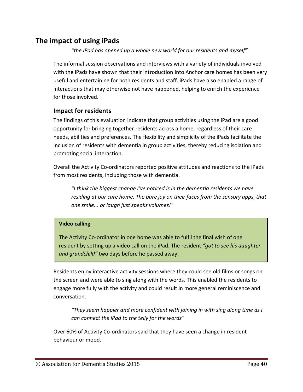# <span id="page-39-0"></span>**The impact of using iPads**

*"the iPad has opened up a whole new world for our residents and myself"*

The informal session observations and interviews with a variety of individuals involved with the iPads have shown that their introduction into Anchor care homes has been very useful and entertaining for both residents and staff. iPads have also enabled a range of interactions that may otherwise not have happened, helping to enrich the experience for those involved.

#### <span id="page-39-1"></span>**Impact for residents**

The findings of this evaluation indicate that group activities using the iPad are a good opportunity for bringing together residents across a home, regardless of their care needs, abilities and preferences. The flexibility and simplicity of the iPads facilitate the inclusion of residents with dementia in group activities, thereby reducing isolation and promoting social interaction.

Overall the Activity Co-ordinators reported positive attitudes and reactions to the iPads from most residents, including those with dementia.

*"I think the biggest change I've noticed is in the dementia residents we have residing at our care home. The pure joy on their faces from the sensory apps, that one smile... or laugh just speaks volumes!"*

#### **Video calling**

The Activity Co-ordinator in one home was able to fulfil the final wish of one resident by setting up a video call on the iPad. The resident *"got to see his daughter and grandchild"* two days before he passed away.

Residents enjoy interactive activity sessions where they could see old films or songs on the screen and were able to sing along with the words. This enabled the residents to engage more fully with the activity and could result in more general reminiscence and conversation.

*"They seem happier and more confident with joining in with sing along time as I can connect the iPad to the telly for the words"*

Over 60% of Activity Co-ordinators said that they have seen a change in resident behaviour or mood.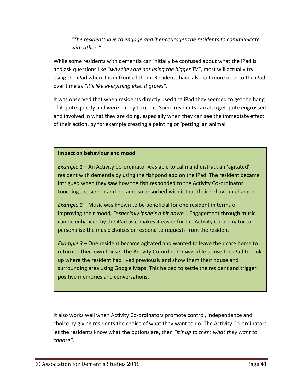## *"The residents love to engage and it encourages the residents to communicate with others"*

While some residents with dementia can initially be confused about what the iPad is and ask questions like *"why they are not using the bigger TV"*, most will actually try using the iPad when it is in front of them. Residents have also got more used to the iPad over time as *"it's like everything else, it grows"*.

It was observed that when residents directly used the iPad they seemed to get the hang of it quite quickly and were happy to use it. Some residents can also get quite engrossed and involved in what they are doing, especially when they can see the immediate effect of their action, by for example creating a painting or 'petting' an animal.

#### **Impact on behaviour and mood**

*Example 1 –* An Activity Co-ordinator was able to calm and distract an 'agitated' resident with dementia by using the fishpond app on the iPad. The resident became intrigued when they saw how the fish responded to the Activity Co-ordinator touching the screen and became so absorbed with it that their behaviour changed.

*Example 2 –* Music was known to be beneficial for one resident in terms of improving their mood, *"especially if she's a bit down"*. Engagement through music can be enhanced by the iPad as it makes it easier for the Activity Co-ordinator to personalise the music choices or respond to requests from the resident.

*Example 3 –* One resident became agitated and wanted to leave their care home to return to their own house. The Activity Co-ordinator was able to use the iPad to look up where the resident had lived previously and show them their house and surrounding area using Google Maps. This helped to settle the resident and trigger positive memories and conversations.

It also works well when Activity Co-ordinators promote control, independence and choice by giving residents the choice of what they want to do. The Activity Co-ordinators let the residents know what the options are, then *"it's up to them what they want to choose"*.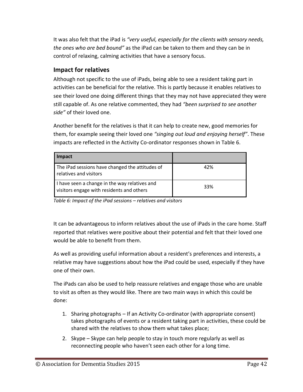It was also felt that the iPad is *"very useful, especially for the clients with sensory needs, the ones who are bed bound"* as the iPad can be taken to them and they can be in control of relaxing, calming activities that have a sensory focus.

## <span id="page-41-0"></span>**Impact for relatives**

Although not specific to the use of iPads, being able to see a resident taking part in activities can be beneficial for the relative. This is partly because it enables relatives to see their loved one doing different things that they may not have appreciated they were still capable of. As one relative commented, they had *"been surprised to see another side"* of their loved one.

Another benefit for the relatives is that it can help to create new, good memories for them, for example seeing their loved one *"singing out loud and enjoying herself"*. These impacts are reflected in the Activity Co-ordinator responses shown in [Table 6.](#page-41-1)

| Impact                                                                                     |     |
|--------------------------------------------------------------------------------------------|-----|
| The iPad sessions have changed the attitudes of<br>relatives and visitors                  | 42% |
| I have seen a change in the way relatives and<br>visitors engage with residents and others | 33% |

<span id="page-41-1"></span>*Table 6: Impact of the iPad sessions – relatives and visitors*

It can be advantageous to inform relatives about the use of iPads in the care home. Staff reported that relatives were positive about their potential and felt that their loved one would be able to benefit from them.

As well as providing useful information about a resident's preferences and interests, a relative may have suggestions about how the iPad could be used, especially if they have one of their own.

The iPads can also be used to help reassure relatives and engage those who are unable to visit as often as they would like. There are two main ways in which this could be done:

- 1. Sharing photographs If an Activity Co-ordinator (with appropriate consent) takes photographs of events or a resident taking part in activities, these could be shared with the relatives to show them what takes place;
- 2. Skype Skype can help people to stay in touch more regularly as well as reconnecting people who haven't seen each other for a long time.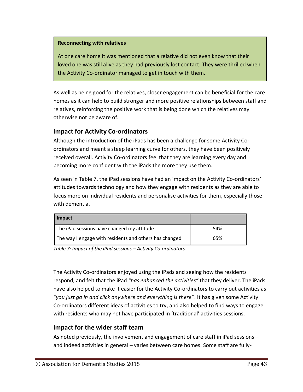#### **Reconnecting with relatives**

At one care home it was mentioned that a relative did not even know that their loved one was still alive as they had previously lost contact. They were thrilled when the Activity Co-ordinator managed to get in touch with them.

As well as being good for the relatives, closer engagement can be beneficial for the care homes as it can help to build stronger and more positive relationships between staff and relatives, reinforcing the positive work that is being done which the relatives may otherwise not be aware of.

### <span id="page-42-0"></span>**Impact for Activity Co-ordinators**

Although the introduction of the iPads has been a challenge for some Activity Coordinators and meant a steep learning curve for others, they have been positively received overall. Activity Co-ordinators feel that they are learning every day and becoming more confident with the iPads the more they use them.

As seen in [Table 7,](#page-42-2) the iPad sessions have had an impact on the Activity Co-ordinators' attitudes towards technology and how they engage with residents as they are able to focus more on individual residents and personalise activities for them, especially those with dementia.

| Impact                                                 |     |
|--------------------------------------------------------|-----|
| The iPad sessions have changed my attitude             | 54% |
| The way I engage with residents and others has changed | 65% |

<span id="page-42-2"></span>*Table 7: Impact of the iPad sessions – Activity Co-ordinators*

The Activity Co-ordinators enjoyed using the iPads and seeing how the residents respond, and felt that the iPad *"has enhanced the activities"* that they deliver. The iPads have also helped to make it easier for the Activity Co-ordinators to carry out activities as *"you just go in and click anywhere and everything is there"*. It has given some Activity Co-ordinators different ideas of activities to try, and also helped to find ways to engage with residents who may not have participated in 'traditional' activities sessions.

#### <span id="page-42-1"></span>**Impact for the wider staff team**

As noted previously, the involvement and engagement of care staff in iPad sessions – and indeed activities in general – varies between care homes. Some staff are fully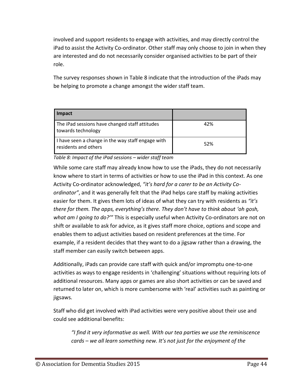involved and support residents to engage with activities, and may directly control the iPad to assist the Activity Co-ordinator. Other staff may only choose to join in when they are interested and do not necessarily consider organised activities to be part of their role.

The survey responses shown in [Table 8](#page-43-0) indicate that the introduction of the iPads may be helping to promote a change amongst the wider staff team.

| Impact                                                                    |     |
|---------------------------------------------------------------------------|-----|
| The iPad sessions have changed staff attitudes<br>towards technology      | 42% |
| I have seen a change in the way staff engage with<br>residents and others | 52% |

<span id="page-43-0"></span>*Table 8: Impact of the iPad sessions – wider staff team*

While some care staff may already know how to use the iPads, they do not necessarily know where to start in terms of activities or how to use the iPad in this context. As one Activity Co-ordinator acknowledged, *"it's hard for a carer to be an Activity Coordinator"*, and it was generally felt that the iPad helps care staff by making activities easier for them. It gives them lots of ideas of what they can try with residents as *"it's there for them. The apps, everything's there. They don't have to think about 'oh gosh, what am I going to do?'"* This is especially useful when Activity Co-ordinators are not on shift or available to ask for advice, as it gives staff more choice, options and scope and enables them to adjust activities based on resident preferences at the time. For example, if a resident decides that they want to do a jigsaw rather than a drawing, the staff member can easily switch between apps.

Additionally, iPads can provide care staff with quick and/or impromptu one-to-one activities as ways to engage residents in 'challenging' situations without requiring lots of additional resources. Many apps or games are also short activities or can be saved and returned to later on, which is more cumbersome with 'real' activities such as painting or jigsaws.

Staff who did get involved with iPad activities were very positive about their use and could see additional benefits:

*"I find it very informative as well. With our tea parties we use the reminiscence cards – we all learn something new. It's not just for the enjoyment of the*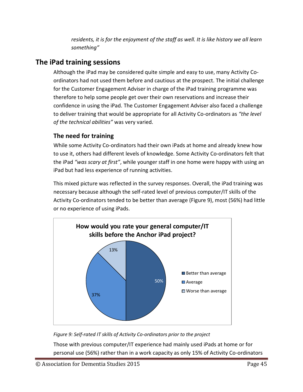*residents, it is for the enjoyment of the staff as well. It is like history we all learn something"*

# <span id="page-44-0"></span>**The iPad training sessions**

Although the iPad may be considered quite simple and easy to use, many Activity Coordinators had not used them before and cautious at the prospect. The initial challenge for the Customer Engagement Adviser in charge of the iPad training programme was therefore to help some people get over their own reservations and increase their confidence in using the iPad. The Customer Engagement Adviser also faced a challenge to deliver training that would be appropriate for all Activity Co-ordinators as *"the level of the technical abilities"* was very varied.

# <span id="page-44-1"></span>**The need for training**

While some Activity Co-ordinators had their own iPads at home and already knew how to use it, others had different levels of knowledge. Some Activity Co-ordinators felt that the iPad *"was scary at first"*, while younger staff in one home were happy with using an iPad but had less experience of running activities.

This mixed picture was reflected in the survey responses. Overall, the iPad training was necessary because although the self-rated level of previous computer/IT skills of the Activity Co-ordinators tended to be better than average [\(Figure 9\)](#page-44-2), most (56%) had little or no experience of using iPads.



<span id="page-44-2"></span>*Figure 9: Self-rated IT skills of Activity Co-ordinators prior to the project*

Those with previous computer/IT experience had mainly used iPads at home or for personal use (56%) rather than in a work capacity as only 15% of Activity Co-ordinators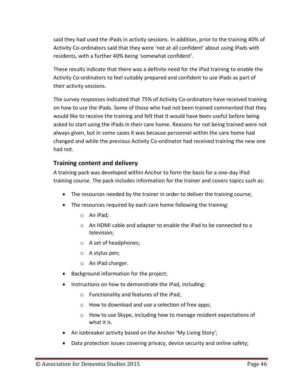said they had used the iPads in activity sessions. In addition, prior to the training 40% of Activity Co-ordinators said that they were 'not at all confident' about using iPads with residents, with a further 40% being 'somewhat confident'.

These results indicate that there was a definite need for the iPad training to enable the Activity Co-ordinators to feel suitably prepared and confident to use iPads as part of their activity sessions.

The survey responses indicated that 75% of Activity Co-ordinators have received training on how to use the iPads. Some of those who had not been trained commented that they would like to receive the training and felt that it would have been useful before being asked to start using the iPads in their care home. Reasons for not being trained were not always given, but in some cases it was because personnel within the care home had changed and while the previous Activity Co-ordinator had received training the new one had not.

### <span id="page-45-0"></span>**Training content and delivery**

A training pack was developed within Anchor to form the basis for a one-day iPad training course. The pack includes information for the trainer and covers topics such as:

- The resources needed by the trainer in order to deliver the training course;
- The resources required by each care home following the training:
	- o An iPad;
	- o An HDMI cable and adapter to enable the iPad to be connected to a television;
	- o A set of headphones;
	- o A stylus pen;
	- o An iPad charger.
- Background information for the project;
- Instructions on how to demonstrate the iPad, including:
	- o Functionality and features of the iPad;
	- o How to download and use a selection of free apps;
	- o How to use Skype, including how to manage resident expectations of what it is.
- An icebreaker activity based on the Anchor 'My Living Story';
- Data protection issues covering privacy, device security and online safety;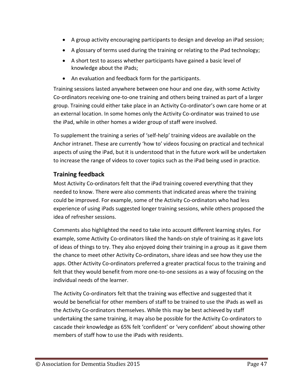- A group activity encouraging participants to design and develop an iPad session;
- A glossary of terms used during the training or relating to the iPad technology;
- A short test to assess whether participants have gained a basic level of knowledge about the iPads;
- An evaluation and feedback form for the participants.

Training sessions lasted anywhere between one hour and one day, with some Activity Co-ordinators receiving one-to-one training and others being trained as part of a larger group. Training could either take place in an Activity Co-ordinator's own care home or at an external location. In some homes only the Activity Co-ordinator was trained to use the iPad, while in other homes a wider group of staff were involved.

To supplement the training a series of 'self-help' training videos are available on the Anchor intranet. These are currently 'how to' videos focusing on practical and technical aspects of using the iPad, but it is understood that in the future work will be undertaken to increase the range of videos to cover topics such as the iPad being used in practice.

# <span id="page-46-0"></span>**Training feedback**

Most Activity Co-ordinators felt that the iPad training covered everything that they needed to know. There were also comments that indicated areas where the training could be improved. For example, some of the Activity Co-ordinators who had less experience of using iPads suggested longer training sessions, while others proposed the idea of refresher sessions.

Comments also highlighted the need to take into account different learning styles. For example, some Activity Co-ordinators liked the hands-on style of training as it gave lots of ideas of things to try. They also enjoyed doing their training in a group as it gave them the chance to meet other Activity Co-ordinators, share ideas and see how they use the apps. Other Activity Co-ordinators preferred a greater practical focus to the training and felt that they would benefit from more one-to-one sessions as a way of focusing on the individual needs of the learner.

The Activity Co-ordinators felt that the training was effective and suggested that it would be beneficial for other members of staff to be trained to use the iPads as well as the Activity Co-ordinators themselves. While this may be best achieved by staff undertaking the same training, it may also be possible for the Activity Co-ordinators to cascade their knowledge as 65% felt 'confident' or 'very confident' about showing other members of staff how to use the iPads with residents.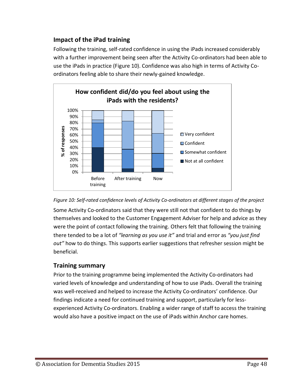## <span id="page-47-0"></span>**Impact of the iPad training**

Following the training, self-rated confidence in using the iPads increased considerably with a further improvement being seen after the Activity Co-ordinators had been able to use the iPads in practice [\(Figure 10\)](#page-47-2). Confidence was also high in terms of Activity Coordinators feeling able to share their newly-gained knowledge.



<span id="page-47-2"></span>

Some Activity Co-ordinators said that they were still not that confident to do things by themselves and looked to the Customer Engagement Adviser for help and advice as they were the point of contact following the training. Others felt that following the training there tended to be a lot of *"learning as you use it"* and trial and error as *"you just find out"* how to do things. This supports earlier suggestions that refresher session might be beneficial.

## <span id="page-47-1"></span>**Training summary**

Prior to the training programme being implemented the Activity Co-ordinators had varied levels of knowledge and understanding of how to use iPads. Overall the training was well-received and helped to increase the Activity Co-ordinators' confidence. Our findings indicate a need for continued training and support, particularly for lessexperienced Activity Co-ordinators. Enabling a wider range of staff to access the training would also have a positive impact on the use of iPads within Anchor care homes.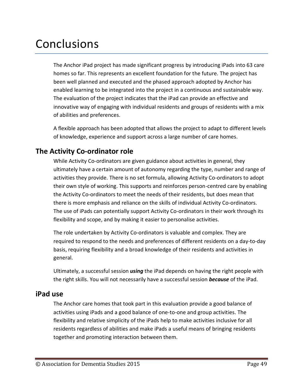# <span id="page-48-0"></span>Conclusions

The Anchor iPad project has made significant progress by introducing iPads into 63 care homes so far. This represents an excellent foundation for the future. The project has been well planned and executed and the phased approach adopted by Anchor has enabled learning to be integrated into the project in a continuous and sustainable way. The evaluation of the project indicates that the iPad can provide an effective and innovative way of engaging with individual residents and groups of residents with a mix of abilities and preferences.

A flexible approach has been adopted that allows the project to adapt to different levels of knowledge, experience and support across a large number of care homes.

# <span id="page-48-1"></span>**The Activity Co-ordinator role**

While Activity Co-ordinators are given guidance about activities in general, they ultimately have a certain amount of autonomy regarding the type, number and range of activities they provide. There is no set formula, allowing Activity Co-ordinators to adopt their own style of working. This supports and reinforces person-centred care by enabling the Activity Co-ordinators to meet the needs of their residents, but does mean that there is more emphasis and reliance on the skills of individual Activity Co-ordinators. The use of iPads can potentially support Activity Co-ordinators in their work through its flexibility and scope, and by making it easier to personalise activities.

The role undertaken by Activity Co-ordinators is valuable and complex. They are required to respond to the needs and preferences of different residents on a day-to-day basis, requiring flexibility and a broad knowledge of their residents and activities in general.

Ultimately, a successful session *using* the iPad depends on having the right people with the right skills. You will not necessarily have a successful session *because* of the iPad.

## <span id="page-48-2"></span>**iPad use**

The Anchor care homes that took part in this evaluation provide a good balance of activities using iPads and a good balance of one-to-one and group activities. The flexibility and relative simplicity of the iPads help to make activities inclusive for all residents regardless of abilities and make iPads a useful means of bringing residents together and promoting interaction between them.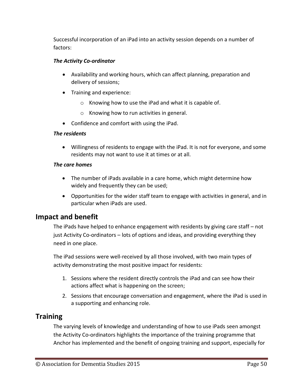Successful incorporation of an iPad into an activity session depends on a number of factors:

#### *The Activity Co-ordinator*

- Availability and working hours, which can affect planning, preparation and delivery of sessions;
- Training and experience:
	- o Knowing how to use the iPad and what it is capable of.
	- o Knowing how to run activities in general.
- Confidence and comfort with using the iPad.

#### *The residents*

 Willingness of residents to engage with the iPad. It is not for everyone, and some residents may not want to use it at times or at all.

#### *The care homes*

- The number of iPads available in a care home, which might determine how widely and frequently they can be used;
- Opportunities for the wider staff team to engage with activities in general, and in particular when iPads are used.

# <span id="page-49-0"></span>**Impact and benefit**

The iPads have helped to enhance engagement with residents by giving care staff – not just Activity Co-ordinators – lots of options and ideas, and providing everything they need in one place.

The iPad sessions were well-received by all those involved, with two main types of activity demonstrating the most positive impact for residents:

- 1. Sessions where the resident directly controls the iPad and can see how their actions affect what is happening on the screen;
- 2. Sessions that encourage conversation and engagement, where the iPad is used in a supporting and enhancing role.

# <span id="page-49-1"></span>**Training**

The varying levels of knowledge and understanding of how to use iPads seen amongst the Activity Co-ordinators highlights the importance of the training programme that Anchor has implemented and the benefit of ongoing training and support, especially for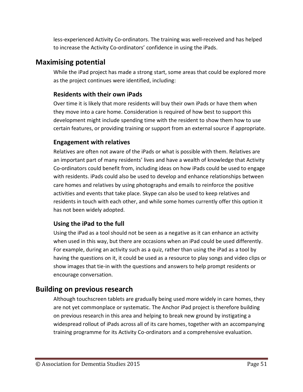less-experienced Activity Co-ordinators. The training was well-received and has helped to increase the Activity Co-ordinators' confidence in using the iPads.

# <span id="page-50-0"></span>**Maximising potential**

While the iPad project has made a strong start, some areas that could be explored more as the project continues were identified, including:

## <span id="page-50-1"></span>**Residents with their own iPads**

Over time it is likely that more residents will buy their own iPads or have them when they move into a care home. Consideration is required of how best to support this development might include spending time with the resident to show them how to use certain features, or providing training or support from an external source if appropriate.

## <span id="page-50-2"></span>**Engagement with relatives**

Relatives are often not aware of the iPads or what is possible with them. Relatives are an important part of many residents' lives and have a wealth of knowledge that Activity Co-ordinators could benefit from, including ideas on how iPads could be used to engage with residents. iPads could also be used to develop and enhance relationships between care homes and relatives by using photographs and emails to reinforce the positive activities and events that take place. Skype can also be used to keep relatives and residents in touch with each other, and while some homes currently offer this option it has not been widely adopted.

# <span id="page-50-3"></span>**Using the iPad to the full**

Using the iPad as a tool should not be seen as a negative as it can enhance an activity when used in this way, but there are occasions when an iPad could be used differently. For example, during an activity such as a quiz, rather than using the iPad as a tool by having the questions on it, it could be used as a resource to play songs and video clips or show images that tie-in with the questions and answers to help prompt residents or encourage conversation.

# <span id="page-50-4"></span>**Building on previous research**

Although touchscreen tablets are gradually being used more widely in care homes, they are not yet commonplace or systematic. The Anchor iPad project is therefore building on previous research in this area and helping to break new ground by instigating a widespread rollout of iPads across all of its care homes, together with an accompanying training programme for its Activity Co-ordinators and a comprehensive evaluation.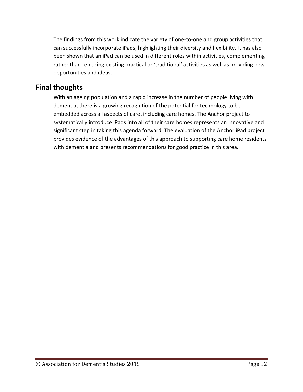The findings from this work indicate the variety of one-to-one and group activities that can successfully incorporate iPads, highlighting their diversity and flexibility. It has also been shown that an iPad can be used in different roles within activities, complementing rather than replacing existing practical or 'traditional' activities as well as providing new opportunities and ideas.

# <span id="page-51-0"></span>**Final thoughts**

With an ageing population and a rapid increase in the number of people living with dementia, there is a growing recognition of the potential for technology to be embedded across all aspects of care, including care homes. The Anchor project to systematically introduce iPads into all of their care homes represents an innovative and significant step in taking this agenda forward. The evaluation of the Anchor iPad project provides evidence of the advantages of this approach to supporting care home residents with dementia and presents recommendations for good practice in this area.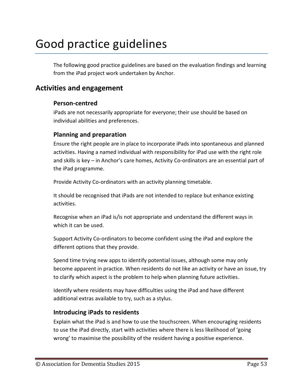# Good practice guidelines

The following good practice guidelines are based on the evaluation findings and learning from the iPad project work undertaken by Anchor.

# <span id="page-52-1"></span><span id="page-52-0"></span>**Activities and engagement**

#### **Person-centred**

iPads are not necessarily appropriate for everyone; their use should be based on individual abilities and preferences.

#### <span id="page-52-2"></span>**Planning and preparation**

Ensure the right people are in place to incorporate iPads into spontaneous and planned activities. Having a named individual with responsibility for iPad use with the right role and skills is key – in Anchor's care homes, Activity Co-ordinators are an essential part of the iPad programme.

Provide Activity Co-ordinators with an activity planning timetable.

It should be recognised that iPads are not intended to replace but enhance existing activities.

Recognise when an iPad is/is not appropriate and understand the different ways in which it can be used.

Support Activity Co-ordinators to become confident using the iPad and explore the different options that they provide.

Spend time trying new apps to identify potential issues, although some may only become apparent in practice. When residents do not like an activity or have an issue, try to clarify which aspect is the problem to help when planning future activities.

Identify where residents may have difficulties using the iPad and have different additional extras available to try, such as a stylus.

#### <span id="page-52-3"></span>**Introducing iPads to residents**

Explain what the iPad is and how to use the touchscreen. When encouraging residents to use the iPad directly, start with activities where there is less likelihood of 'going wrong' to maximise the possibility of the resident having a positive experience.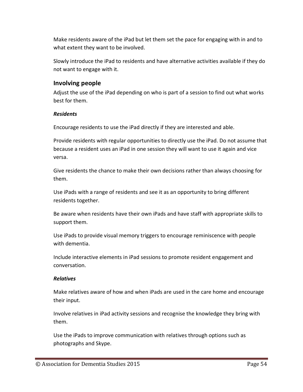Make residents aware of the iPad but let them set the pace for engaging with in and to what extent they want to be involved.

Slowly introduce the iPad to residents and have alternative activities available if they do not want to engage with it.

### <span id="page-53-0"></span>**Involving people**

Adjust the use of the iPad depending on who is part of a session to find out what works best for them.

#### *Residents*

Encourage residents to use the iPad directly if they are interested and able.

Provide residents with regular opportunities to directly use the iPad. Do not assume that because a resident uses an iPad in one session they will want to use it again and vice versa.

Give residents the chance to make their own decisions rather than always choosing for them.

Use iPads with a range of residents and see it as an opportunity to bring different residents together.

Be aware when residents have their own iPads and have staff with appropriate skills to support them.

Use iPads to provide visual memory triggers to encourage reminiscence with people with dementia.

Include interactive elements in iPad sessions to promote resident engagement and conversation.

#### *Relatives*

Make relatives aware of how and when iPads are used in the care home and encourage their input.

Involve relatives in iPad activity sessions and recognise the knowledge they bring with them.

Use the iPads to improve communication with relatives through options such as photographs and Skype.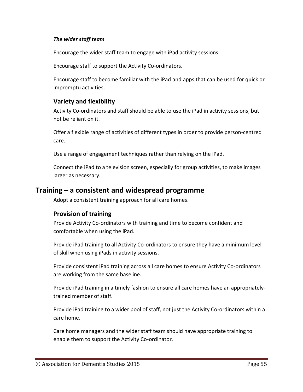#### *The wider staff team*

Encourage the wider staff team to engage with iPad activity sessions.

Encourage staff to support the Activity Co-ordinators.

Encourage staff to become familiar with the iPad and apps that can be used for quick or impromptu activities.

#### <span id="page-54-0"></span>**Variety and flexibility**

Activity Co-ordinators and staff should be able to use the iPad in activity sessions, but not be reliant on it.

Offer a flexible range of activities of different types in order to provide person-centred care.

Use a range of engagement techniques rather than relying on the iPad.

Connect the iPad to a television screen, especially for group activities, to make images larger as necessary.

## <span id="page-54-1"></span>**Training – a consistent and widespread programme**

Adopt a consistent training approach for all care homes.

#### <span id="page-54-2"></span>**Provision of training**

Provide Activity Co-ordinators with training and time to become confident and comfortable when using the iPad.

Provide iPad training to all Activity Co-ordinators to ensure they have a minimum level of skill when using iPads in activity sessions.

Provide consistent iPad training across all care homes to ensure Activity Co-ordinators are working from the same baseline.

Provide iPad training in a timely fashion to ensure all care homes have an appropriatelytrained member of staff.

Provide iPad training to a wider pool of staff, not just the Activity Co-ordinators within a care home.

Care home managers and the wider staff team should have appropriate training to enable them to support the Activity Co-ordinator.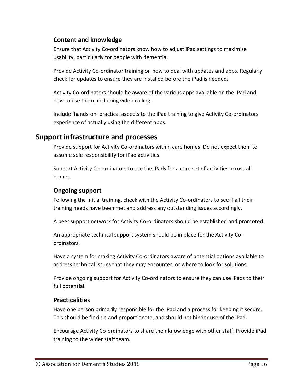## <span id="page-55-0"></span>**Content and knowledge**

Ensure that Activity Co-ordinators know how to adjust iPad settings to maximise usability, particularly for people with dementia.

Provide Activity Co-ordinator training on how to deal with updates and apps. Regularly check for updates to ensure they are installed before the iPad is needed.

Activity Co-ordinators should be aware of the various apps available on the iPad and how to use them, including video calling.

Include 'hands-on' practical aspects to the iPad training to give Activity Co-ordinators experience of actually using the different apps.

# <span id="page-55-1"></span>**Support infrastructure and processes**

Provide support for Activity Co-ordinators within care homes. Do not expect them to assume sole responsibility for iPad activities.

Support Activity Co-ordinators to use the iPads for a core set of activities across all homes.

### <span id="page-55-2"></span>**Ongoing support**

Following the initial training, check with the Activity Co-ordinators to see if all their training needs have been met and address any outstanding issues accordingly.

A peer support network for Activity Co-ordinators should be established and promoted.

An appropriate technical support system should be in place for the Activity Coordinators.

Have a system for making Activity Co-ordinators aware of potential options available to address technical issues that they may encounter, or where to look for solutions.

Provide ongoing support for Activity Co-ordinators to ensure they can use iPads to their full potential.

## <span id="page-55-3"></span>**Practicalities**

Have one person primarily responsible for the iPad and a process for keeping it secure. This should be flexible and proportionate, and should not hinder use of the iPad.

Encourage Activity Co-ordinators to share their knowledge with other staff. Provide iPad training to the wider staff team.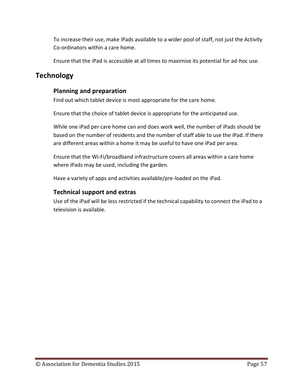To increase their use, make iPads available to a wider pool of staff, not just the Activity Co-ordinators within a care home.

Ensure that the iPad is accessible at all times to maximise its potential for ad-hoc use.

# <span id="page-56-1"></span><span id="page-56-0"></span>**Technology**

# **Planning and preparation**

Find out which tablet device is most appropriate for the care home.

Ensure that the choice of tablet device is appropriate for the anticipated use.

While one iPad per care home can and does work well, the number of iPads should be based on the number of residents and the number of staff able to use the iPad. If there are different areas within a home it may be useful to have one iPad per area.

Ensure that the Wi-Fi/broadband infrastructure covers all areas within a care home where iPads may be used, including the garden.

Have a variety of apps and activities available/pre-loaded on the iPad.

# <span id="page-56-2"></span>**Technical support and extras**

Use of the iPad will be less restricted if the technical capability to connect the iPad to a television is available.